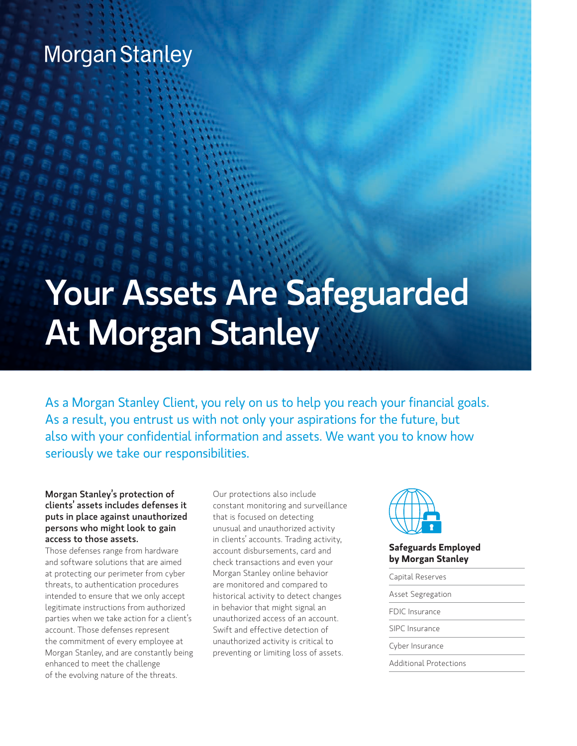# **Morgan Stanley**

# Your Assets Are Safeguarded At Morgan Stanley

As a Morgan Stanley Client, you rely on us to help you reach your financial goals. As a result, you entrust us with not only your aspirations for the future, but also with your confidential information and assets. We want you to know how seriously we take our responsibilities.

#### Morgan Stanley's protection of clients' assets includes defenses it puts in place against unauthorized persons who might look to gain access to those assets.

Those defenses range from hardware and software solutions that are aimed at protecting our perimeter from cyber threats, to authentication procedures intended to ensure that we only accept legitimate instructions from authorized parties when we take action for a client's account. Those defenses represent the commitment of every employee at Morgan Stanley, and are constantly being enhanced to meet the challenge of the evolving nature of the threats.

Our protections also include constant monitoring and surveillance that is focused on detecting unusual and unauthorized activity in clients' accounts. Trading activity, account disbursements, card and check transactions and even your Morgan Stanley online behavior are monitored and compared to historical activity to detect changes in behavior that might signal an unauthorized access of an account. Swift and effective detection of unauthorized activity is critical to preventing or limiting loss of assets.



#### **Safeguards Employed by Morgan Stanley**

| Capital Reserves         |
|--------------------------|
| <b>Asset Segregation</b> |
| <b>FDIC</b> Insurance    |
| SIPC Insurance           |
| Cyber Insurance          |
| Additional Protections   |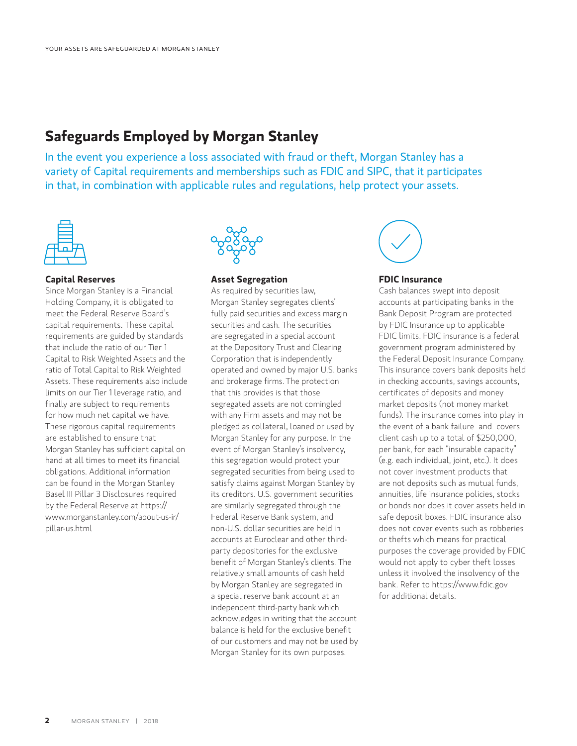### **Safeguards Employed by Morgan Stanley**

In the event you experience a loss associated with fraud or theft, Morgan Stanley has a variety of Capital requirements and memberships such as FDIC and SIPC, that it participates in that, in combination with applicable rules and regulations, help protect your assets.



#### **Capital Reserves**

Since Morgan Stanley is a Financial Holding Company, it is obligated to meet the Federal Reserve Board's capital requirements. These capital requirements are guided by standards that include the ratio of our Tier 1 Capital to Risk Weighted Assets and the ratio of Total Capital to Risk Weighted Assets. These requirements also include limits on our Tier 1 leverage ratio, and finally are subject to requirements for how much net capital we have. These rigorous capital requirements are established to ensure that Morgan Stanley has sufficient capital on hand at all times to meet its financial obligations. Additional information can be found in the Morgan Stanley Basel III Pillar 3 Disclosures required by the Federal Reserve at https:// www.morganstanley.com/about-us-ir/ pillar-us.html



#### **Asset Segregation**

As required by securities law, Morgan Stanley segregates clients' fully paid securities and excess margin securities and cash. The securities are segregated in a special account at the Depository Trust and Clearing Corporation that is independently operated and owned by major U.S. banks and brokerage firms. The protection that this provides is that those segregated assets are not comingled with any Firm assets and may not be pledged as collateral, loaned or used by Morgan Stanley for any purpose. In the event of Morgan Stanley's insolvency, this segregation would protect your segregated securities from being used to satisfy claims against Morgan Stanley by its creditors. U.S. government securities are similarly segregated through the Federal Reserve Bank system, and non-U.S. dollar securities are held in accounts at Euroclear and other thirdparty depositories for the exclusive benefit of Morgan Stanley's clients. The relatively small amounts of cash held by Morgan Stanley are segregated in a special reserve bank account at an independent third-party bank which acknowledges in writing that the account balance is held for the exclusive benefit of our customers and may not be used by Morgan Stanley for its own purposes.



#### **FDIC Insurance**

Cash balances swept into deposit accounts at participating banks in the Bank Deposit Program are protected by FDIC Insurance up to applicable FDIC limits. FDIC insurance is a federal government program administered by the Federal Deposit Insurance Company. This insurance covers bank deposits held in checking accounts, savings accounts, certificates of deposits and money market deposits (not money market funds). The insurance comes into play in the event of a bank failure and covers client cash up to a total of \$250,000, per bank, for each "insurable capacity" (e.g. each individual, joint, etc.). It does not cover investment products that are not deposits such as mutual funds, annuities, life insurance policies, stocks or bonds nor does it cover assets held in safe deposit boxes. FDIC insurance also does not cover events such as robberies or thefts which means for practical purposes the coverage provided by FDIC would not apply to cyber theft losses unless it involved the insolvency of the bank. Refer to https://www.fdic.gov for additional details.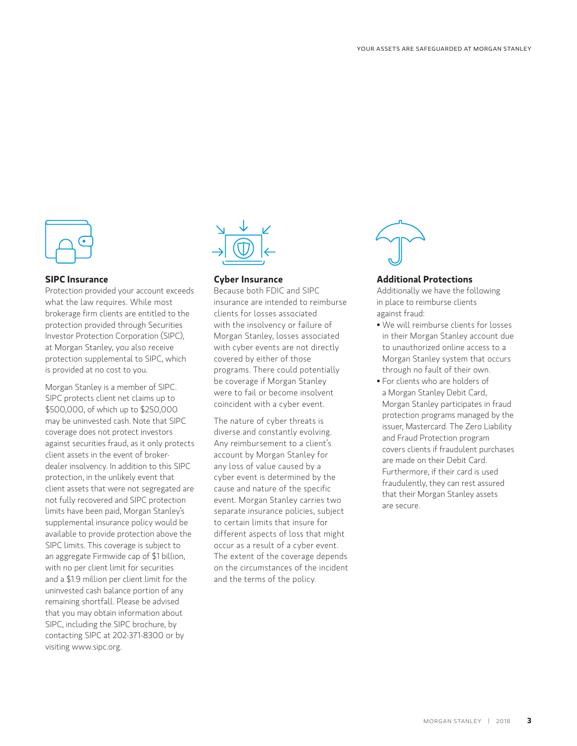

#### **SIPC Insurance**

Protection provided your account exceeds what the law requires. While most brokerage firm clients are entitled to the protection provided through Securities Investor Protection Corporation (SIPC), at Morgan Stanley, you also receive protection supplemental to SIPC, which is provided at no cost to you.

Morgan Stanley is a member of SIPC. SIPC protects client net claims up to \$500,000, of which up to \$250,000 may be uninvested cash. Note that SIPC coverage does not protect investors against securities fraud, as it only protects client assets in the event of brokerdealer insolvency. In addition to this SIPC protection, in the unlikely event that client assets that were not segregated are not fully recovered and SIPC protection limits have been paid, Morgan Stanley's supplemental insurance policy would be available to provide protection above the SIPC limits. This coverage is subject to an aggregate Firmwide cap of \$1 billion, with no per client limit for securities and a \$1.9 million per client limit for the uninvested cash balance portion of any remaining shortfall. Please be advised that you may obtain information about SIPC, including the SIPC brochure, by contacting SIPC at 202-371-8300 or by visiting www.sipc.org.



#### **Cyber Insurance**

Because both FDIC and SIPC insurance are intended to reimburse clients for losses associated with the insolvency or failure of Morgan Stanley, losses associated with cyber events are not directly covered by either of those programs. There could potentially be coverage if Morgan Stanley were to fail or become insolvent coincident with a cyber event.

The nature of cyber threats is diverse and constantly evolving. Any reimbursement to a client's account by Morgan Stanley for any loss of value caused by a cyber event is determined by the cause and nature of the specific event. Morgan Stanley carries two separate insurance policies, subject to certain limits that insure for different aspects of loss that might occur as a result of a cyber event. The extent of the coverage depends on the circumstances of the incident and the terms of the policy.



#### **Additional Protections**

Additionally we have the following in place to reimburse clients against fraud:

- We will reimburse clients for losses in their Morgan Stanley account due to unauthorized online access to a Morgan Stanley system that occurs through no fault of their own.
- For clients who are holders of a Morgan Stanley Debit Card, Morgan Stanley participates in fraud protection programs managed by the issuer, Mastercard. The Zero Liability and Fraud Protection program covers clients if fraudulent purchases are made on their Debit Card. Furthermore, if their card is used fraudulently, they can rest assured that their Morgan Stanley assets are secure.